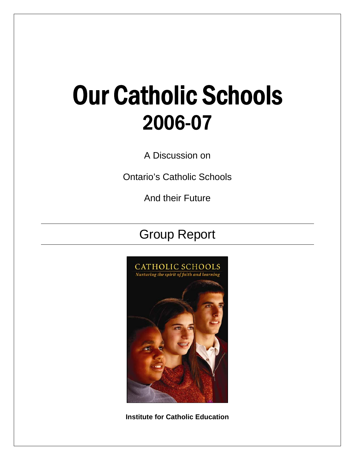## Our Catholic Schools 2006-07

A Discussion on

Ontario's Catholic Schools

And their Future

## Group Report



**Institute for Catholic Education**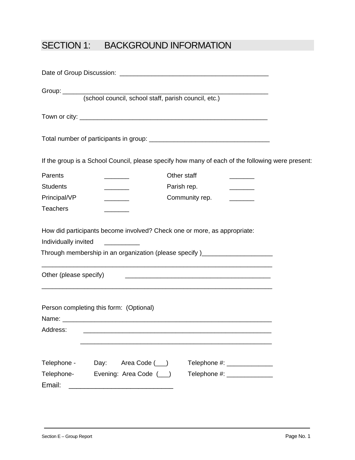## SECTION 1: BACKGROUND INFORMATION

|                        |                                                                                                                                                                                                  | If the group is a School Council, please specify how many of each of the following were present: |  |
|------------------------|--------------------------------------------------------------------------------------------------------------------------------------------------------------------------------------------------|--------------------------------------------------------------------------------------------------|--|
| Parents                |                                                                                                                                                                                                  | Other staff                                                                                      |  |
| <b>Students</b>        | <u> Albanya a Tanzania a Tanzania a Tanzania a Tanzania a Tanzania a Tanzania a Tanzania a Tanzania a Tanzania a </u>                                                                            | Parish rep.<br>$\overline{\phantom{a}}$                                                          |  |
| Principal/VP           | $\overline{\phantom{a}}$                                                                                                                                                                         | Community rep.                                                                                   |  |
| <b>Teachers</b>        |                                                                                                                                                                                                  |                                                                                                  |  |
| Individually invited   | How did participants become involved? Check one or more, as appropriate:<br><u> 1980 - Jan Stein Stein Stein Stein Stein Stein Stein Stein Stein Stein Stein Stein Stein Stein Stein Stein S</u> | Through membership in an organization (please specify)__________________________                 |  |
| Other (please specify) |                                                                                                                                                                                                  |                                                                                                  |  |
| Address:               | <u> 1989 - Johann Harry Harry Harry Harry Harry Harry Harry Harry Harry Harry Harry Harry Harry Harry Harry Harry</u><br>Person completing this form: (Optional)                                 |                                                                                                  |  |
| Telephone -            | Day:<br>Area Code (__)                                                                                                                                                                           | Telephone #: ______________                                                                      |  |
| Telephone-             | Evening: Area Code (__)                                                                                                                                                                          | Telephone #: _______________                                                                     |  |
| Email:                 |                                                                                                                                                                                                  |                                                                                                  |  |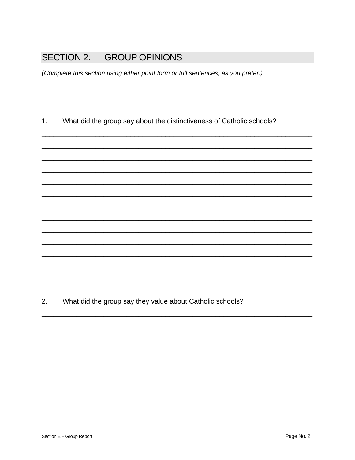## **SECTION 2: GROUP OPINIONS**

(Complete this section using either point form or full sentences, as you prefer.)

What did the group say about the distinctiveness of Catholic schools?  $1.$ 

What did the group say they value about Catholic schools?  $2.$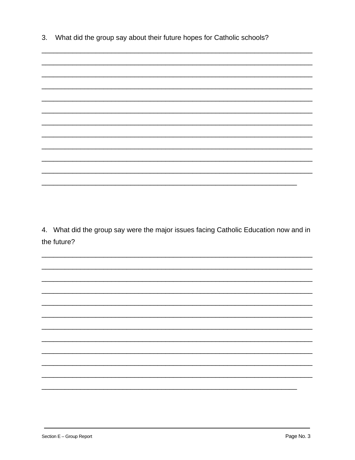What did the group say about their future hopes for Catholic schools?  $3.$ 

4. What did the group say were the major issues facing Catholic Education now and in the future?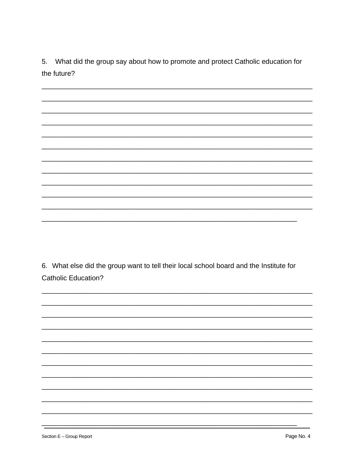5. What did the group say about how to promote and protect Catholic education for the future?

6. What else did the group want to tell their local school board and the Institute for **Catholic Education?**